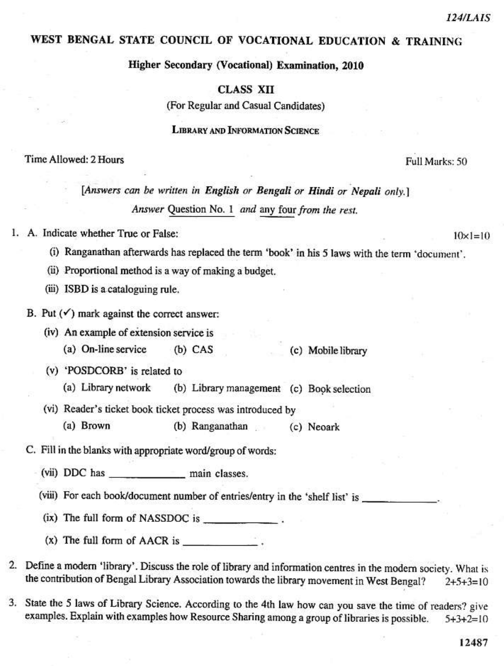$10 \times 1 = 10$ 

# WEST BENGAL STATE COUNCIL OF VOCATIONAL EDUCATION & TRAINING

Higher Secondary (Vocational) Examination, 2010

#### **CLASS XII**

(For Regular and Casual Candidates)

**LIBRARY AND INFORMATION SCIENCE** 

#### Time Allowed: 2 Hours

Full Marks: 50

[Answers can be written in English or Bengali or Hindi or Nepali only.] Answer Question No. 1 and any four from the rest.

### 1. A. Indicate whether True or False:

- (i) Ranganathan afterwards has replaced the term 'book' in his 5 laws with the term 'document'.
- (ii) Proportional method is a way of making a budget.
- (iii) ISBD is a cataloguing rule.
- B. Put  $(\checkmark)$  mark against the correct answer:
	- (iv) An example of extension service is
		- (a) On-line service  $(b)$  CAS (c) Mobile library
	- (v) 'POSDCORB' is related to
		- (a) Library network (b) Library management (c) Book selection
	- (vi) Reader's ticket book ticket process was introduced by
		- (a) Brown (b) Ranganathan (c) Neoark
- C. Fill in the blanks with appropriate word/group of words:
	- (vii) DDC has main classes.
	- (viii) For each book/document number of entries/entry in the 'shelf list' is
	- (ix) The full form of NASSDOC is \_\_\_\_\_\_\_\_\_\_\_\_\_.
	- $(x)$  The full form of AACR is
- 2. Define a modern 'library'. Discuss the role of library and information centres in the modern society. What is the contribution of Bengal Library Association towards the library movement in West Bengal?  $2+5+3=10$
- 3. State the 5 laws of Library Science. According to the 4th law how can you save the time of readers? give examples. Explain with examples how Resource Sharing among a group of libraries is possible.  $5+3+2=10$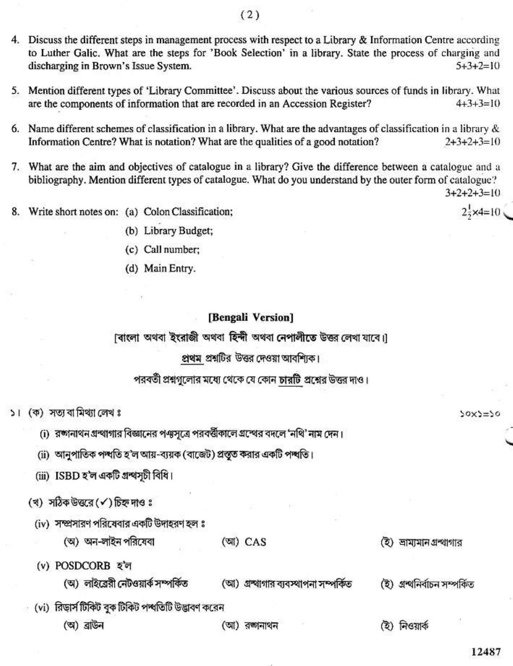- 4. Discuss the different steps in management process with respect to a Library & Information Centre according to Luther Galic. What are the steps for 'Book Selection' in a library. State the process of charging and discharging in Brown's Issue System.  $5 + 3 + 2 = 10$
- 5. Mention different types of 'Library Committee'. Discuss about the various sources of funds in library. What are the components of information that are recorded in an Accession Register?  $4+3+3=10$
- 6. Name different schemes of classification in a library. What are the advantages of classification in a library  $\&$ Information Centre? What is notation? What are the qualities of a good notation?  $2+3+2+3=10$
- 7. What are the aim and objectives of catalogue in a library? Give the difference between a catalogue and a bibliography. Mention different types of catalogue. What do you understand by the outer form of catalogue?

 $3+2+2+3=10$ 

 $2\frac{1}{2} \times 4 = 10$ 

 $50x5=50$ 

12487

Write short notes on: (a) Colon Classification; 8.

(b) Library Budget;

(c) Call number:

(d) Main Entry.

#### [Bengali Version]

াবাংলা অথবা ইংরাজী অথবা হিন্দী অথবা নেপালীতে উত্তর লেখা যাবে।

## প্রথম প্রশ্নটির উত্তর দেওয়া আবশ্যিক।

পরবর্তী প্রশ্নগুলোর মধ্যে থেকে যে কোন চারটি প্রশ্নের উত্তর দাও।

- ১। (ক) সত্য বা মিথ্যা লেখ ঃ
	- (i) রঙ্গানাথন গ্রন্থাগার বিজ্ঞানের পঞ্জসূত্রে পরবর্ত্তীকালে গ্রন্থের বদলে 'নথি' নাম দেন।
	- (ii) আনুপাতিক পশ্বতি হ'ল আয়-ব্যয়ক (বাজেট) প্রস্তুত করার একটি পশ্বতি।
	- (iii) ISBD হ'ল একটি গ্ৰন্থসূচী বিধি।
	- (খ) সঠিক উত্তরে (√) চিহ্ন দাওঃ
		- (iv) সম্প্রসারণ পরিষেবার একটি উদাহরণ হল ঃ
			- (অ) অন-লাইন পরিষেবা
- (আ) CAS

(ই) ভামামানগ্রন্থাগার

(ই) গ্ৰন্থনিৰ্বাচন সম্পৰ্কিত

- (v) POSDCORB হ'ল
	- (অ) লাইব্রেরী নেটওয়ার্ক সম্পর্কিত
		-
- (vi) রিড়ার্স টিকিট বুক টিকিট পশ্বতিটি উদ্ভাবণ করেন
	- (অ) ব্ৰাউন

(আ) রজানাথন

(আ) গ্ৰন্থাগার ব্যবস্থাপনা সম্পর্কিত

(ই) নিওয়ার্ক